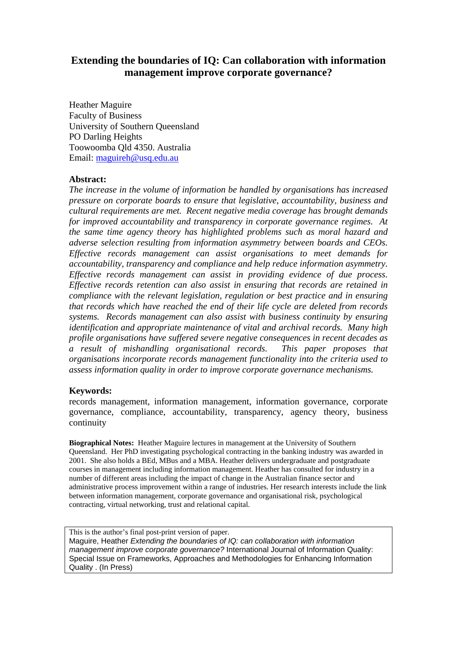# **Extending the boundaries of IQ: Can collaboration with information management improve corporate governance?**

Heather Maguire Faculty of Business University of Southern Queensland PO Darling Heights Toowoomba Qld 4350. Australia Email: [maguireh@usq.edu.au](mailto:maguireh@usq.edu.au)

## **Abstract:**

*The increase in the volume of information be handled by organisations has increased pressure on corporate boards to ensure that legislative, accountability, business and cultural requirements are met. Recent negative media coverage has brought demands for improved accountability and transparency in corporate governance regimes. At the same time agency theory has highlighted problems such as moral hazard and adverse selection resulting from information asymmetry between boards and CEOs. Effective records management can assist organisations to meet demands for accountability, transparency and compliance and help reduce information asymmetry. Effective records management can assist in providing evidence of due process. Effective records retention can also assist in ensuring that records are retained in compliance with the relevant legislation, regulation or best practice and in ensuring that records which have reached the end of their life cycle are deleted from records systems. Records management can also assist with business continuity by ensuring identification and appropriate maintenance of vital and archival records. Many high profile organisations have suffered severe negative consequences in recent decades as a result of mishandling organisational records. This paper proposes that organisations incorporate records management functionality into the criteria used to assess information quality in order to improve corporate governance mechanisms.* 

## **Keywords:**

records management, information management, information governance, corporate governance, compliance, accountability, transparency, agency theory, business continuity

**Biographical Notes:** Heather Maguire lectures in management at the University of Southern Queensland. Her PhD investigating psychological contracting in the banking industry was awarded in 2001. She also holds a BEd, MBus and a MBA. Heather delivers undergraduate and postgraduate courses in management including information management. Heather has consulted for industry in a number of different areas including the impact of change in the Australian finance sector and administrative process improvement within a range of industries. Her research interests include the link between information management, corporate governance and organisational risk, psychological contracting, virtual networking, trust and relational capital.

This is the author's final post-print version of paper. Maguire, Heather *Extending the boundaries of IQ: can collaboration with information management improve corporate governance?* International Journal of Information Quality: Special Issue on Frameworks, Approaches and Methodologies for Enhancing Information Quality . (In Press)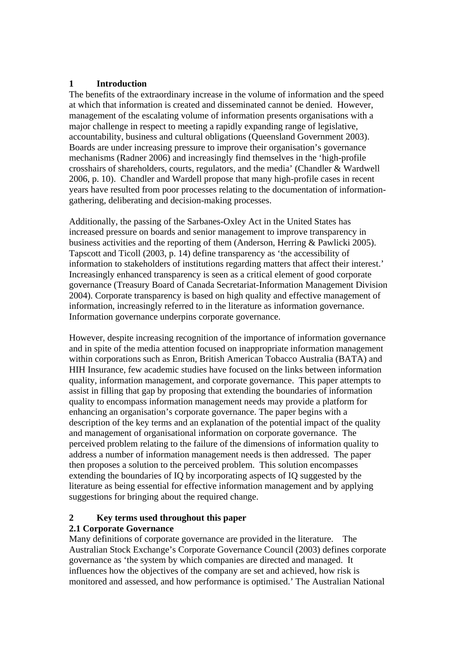## **1 Introduction**

The benefits of the extraordinary increase in the volume of information and the speed at which that information is created and disseminated cannot be denied. However, management of the escalating volume of information presents organisations with a major challenge in respect to meeting a rapidly expanding range of legislative, accountability, business and cultural obligations (Queensland Government 2003). Boards are under increasing pressure to improve their organisation's governance mechanisms (Radner 2006) and increasingly find themselves in the 'high-profile crosshairs of shareholders, courts, regulators, and the media' (Chandler & Wardwell 2006, p. 10). Chandler and Wardell propose that many high-profile cases in recent years have resulted from poor processes relating to the documentation of informationgathering, deliberating and decision-making processes.

Additionally, the passing of the Sarbanes-Oxley Act in the United States has increased pressure on boards and senior management to improve transparency in business activities and the reporting of them (Anderson, Herring & Pawlicki 2005). Tapscott and Ticoll (2003, p. 14) define transparency as 'the accessibility of information to stakeholders of institutions regarding matters that affect their interest.' Increasingly enhanced transparency is seen as a critical element of good corporate governance (Treasury Board of Canada Secretariat-Information Management Division 2004). Corporate transparency is based on high quality and effective management of information, increasingly referred to in the literature as information governance. Information governance underpins corporate governance.

However, despite increasing recognition of the importance of information governance and in spite of the media attention focused on inappropriate information management within corporations such as Enron, British American Tobacco Australia (BATA) and HIH Insurance, few academic studies have focused on the links between information quality, information management, and corporate governance. This paper attempts to assist in filling that gap by proposing that extending the boundaries of information quality to encompass information management needs may provide a platform for enhancing an organisation's corporate governance. The paper begins with a description of the key terms and an explanation of the potential impact of the quality and management of organisational information on corporate governance. The perceived problem relating to the failure of the dimensions of information quality to address a number of information management needs is then addressed. The paper then proposes a solution to the perceived problem. This solution encompasses extending the boundaries of IQ by incorporating aspects of IQ suggested by the literature as being essential for effective information management and by applying suggestions for bringing about the required change.

# **2 Key terms used throughout this paper**

# **2.1 Corporate Governance**

Many definitions of corporate governance are provided in the literature. The Australian Stock Exchange's Corporate Governance Council (2003) defines corporate governance as 'the system by which companies are directed and managed. It influences how the objectives of the company are set and achieved, how risk is monitored and assessed, and how performance is optimised.' The Australian National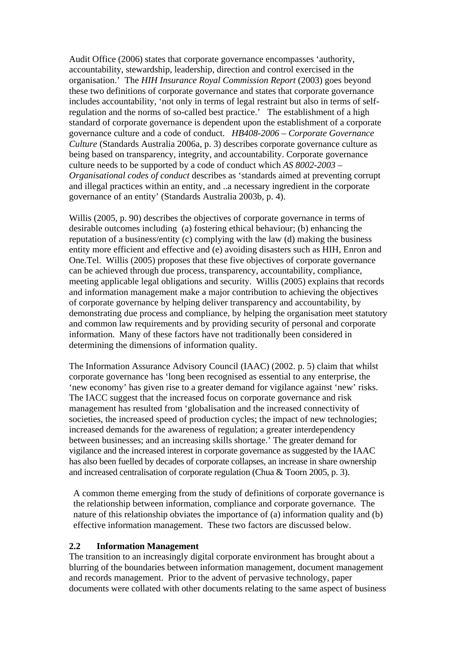Audit Office (2006) states that corporate governance encompasses 'authority, accountability, stewardship, leadership, direction and control exercised in the organisation.' The *HIH Insurance Royal Commission Report* (2003) goes beyond these two definitions of corporate governance and states that corporate governance includes accountability, 'not only in terms of legal restraint but also in terms of selfregulation and the norms of so-called best practice.' The establishment of a high standard of corporate governance is dependent upon the establishment of a corporate governance culture and a code of conduct. *HB408-2006 – Corporate Governance Culture* (Standards Australia 2006a, p. 3) describes corporate governance culture as being based on transparency, integrity, and accountability. Corporate governance culture needs to be supported by a code of conduct which *AS 8002-2003* – *Organisational codes of conduct* describes as 'standards aimed at preventing corrupt and illegal practices within an entity, and ..a necessary ingredient in the corporate governance of an entity' (Standards Australia 2003b, p. 4).

Willis (2005, p. 90) describes the objectives of corporate governance in terms of desirable outcomes including (a) fostering ethical behaviour; (b) enhancing the reputation of a business/entity (c) complying with the law (d) making the business entity more efficient and effective and (e) avoiding disasters such as HIH, Enron and One.Tel. Willis (2005) proposes that these five objectives of corporate governance can be achieved through due process, transparency, accountability, compliance, meeting applicable legal obligations and security. Willis (2005) explains that records and information management make a major contribution to achieving the objectives of corporate governance by helping deliver transparency and accountability, by demonstrating due process and compliance, by helping the organisation meet statutory and common law requirements and by providing security of personal and corporate information. Many of these factors have not traditionally been considered in determining the dimensions of information quality.

The Information Assurance Advisory Council (IAAC) (2002. p. 5) claim that whilst corporate governance has 'long been recognised as essential to any enterprise, the 'new economy' has given rise to a greater demand for vigilance against 'new' risks. The IACC suggest that the increased focus on corporate governance and risk management has resulted from 'globalisation and the increased connectivity of societies, the increased speed of production cycles; the impact of new technologies; increased demands for the awareness of regulation; a greater interdependency between businesses; and an increasing skills shortage.' The greater demand for vigilance and the increased interest in corporate governance as suggested by the IAAC has also been fuelled by decades of corporate collapses, an increase in share ownership and increased centralisation of corporate regulation (Chua & Toorn 2005, p. 3).

A common theme emerging from the study of definitions of corporate governance is the relationship between information, compliance and corporate governance. The nature of this relationship obviates the importance of (a) information quality and (b) effective information management. These two factors are discussed below.

## **2.2 Information Management**

The transition to an increasingly digital corporate environment has brought about a blurring of the boundaries between information management, document management and records management. Prior to the advent of pervasive technology, paper documents were collated with other documents relating to the same aspect of business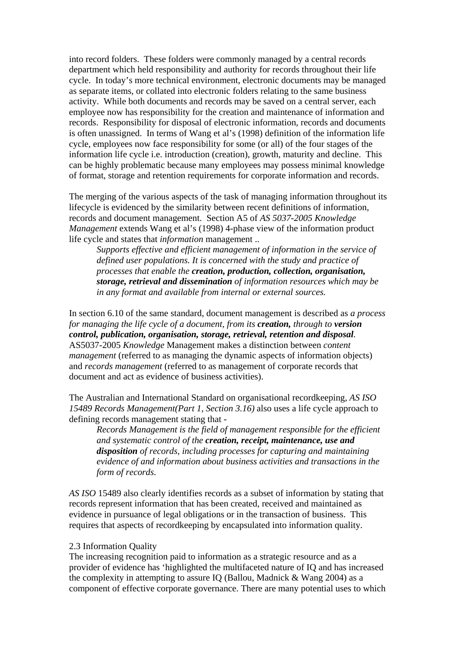into record folders. These folders were commonly managed by a central records department which held responsibility and authority for records throughout their life cycle. In today's more technical environment, electronic documents may be managed as separate items, or collated into electronic folders relating to the same business activity. While both documents and records may be saved on a central server, each employee now has responsibility for the creation and maintenance of information and records. Responsibility for disposal of electronic information, records and documents is often unassigned. In terms of Wang et al's (1998) definition of the information life cycle, employees now face responsibility for some (or all) of the four stages of the information life cycle i.e. introduction (creation), growth, maturity and decline. This can be highly problematic because many employees may possess minimal knowledge of format, storage and retention requirements for corporate information and records.

The merging of the various aspects of the task of managing information throughout its lifecycle is evidenced by the similarity between recent definitions of information, records and document management. Section A5 of *AS 5037-2005 Knowledge Management* extends Wang et al's (1998) 4-phase view of the information product life cycle and states that *information* management ..

*Supports effective and efficient management of information in the service of defined user populations. It is concerned with the study and practice of processes that enable the creation, production, collection, organisation, storage, retrieval and dissemination of information resources which may be in any format and available from internal or external sources.* 

In section 6.10 of the same standard, document management is described as *a process for managing the life cycle of a document, from its creation, through to version control, publication, organisation, storage, retrieval, retention and disposal.*  AS5037-2005 *Knowledge* Management makes a distinction between *content management* (referred to as managing the dynamic aspects of information objects) and *records management* (referred to as management of corporate records that document and act as evidence of business activities).

The Australian and International Standard on organisational recordkeeping, *AS ISO 15489 Records Management(Part 1, Section 3.16)* also uses a life cycle approach to defining records management stating that -

*Records Management is the field of management responsible for the efficient and systematic control of the creation, receipt, maintenance, use and disposition of records, including processes for capturing and maintaining evidence of and information about business activities and transactions in the form of records.* 

*AS ISO* 15489 also clearly identifies records as a subset of information by stating that records represent information that has been created, received and maintained as evidence in pursuance of legal obligations or in the transaction of business. This requires that aspects of recordkeeping by encapsulated into information quality.

#### 2.3 Information Quality

The increasing recognition paid to information as a strategic resource and as a provider of evidence has 'highlighted the multifaceted nature of IQ and has increased the complexity in attempting to assure IQ (Ballou, Madnick & Wang 2004) as a component of effective corporate governance. There are many potential uses to which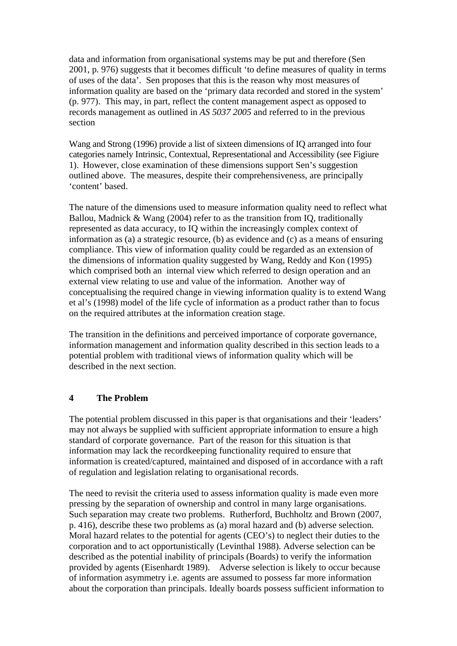data and information from organisational systems may be put and therefore (Sen 2001, p. 976) suggests that it becomes difficult 'to define measures of quality in terms of uses of the data'. Sen proposes that this is the reason why most measures of information quality are based on the 'primary data recorded and stored in the system' (p. 977). This may, in part, reflect the content management aspect as opposed to records management as outlined in *AS 5037 2005* and referred to in the previous section

Wang and Strong (1996) provide a list of sixteen dimensions of IQ arranged into four categories namely Intrinsic, Contextual, Representational and Accessibility (see Figiure 1). However, close examination of these dimensions support Sen's suggestion outlined above. The measures, despite their comprehensiveness, are principally 'content' based.

The nature of the dimensions used to measure information quality need to reflect what Ballou, Madnick & Wang (2004) refer to as the transition from IQ, traditionally represented as data accuracy, to IQ within the increasingly complex context of information as (a) a strategic resource, (b) as evidence and (c) as a means of ensuring compliance. This view of information quality could be regarded as an extension of the dimensions of information quality suggested by Wang, Reddy and Kon (1995) which comprised both an internal view which referred to design operation and an external view relating to use and value of the information. Another way of conceptualising the required change in viewing information quality is to extend Wang et al's (1998) model of the life cycle of information as a product rather than to focus on the required attributes at the information creation stage.

The transition in the definitions and perceived importance of corporate governance, information management and information quality described in this section leads to a potential problem with traditional views of information quality which will be described in the next section.

# **4 The Problem**

The potential problem discussed in this paper is that organisations and their 'leaders' may not always be supplied with sufficient appropriate information to ensure a high standard of corporate governance. Part of the reason for this situation is that information may lack the recordkeeping functionality required to ensure that information is created/captured, maintained and disposed of in accordance with a raft of regulation and legislation relating to organisational records.

The need to revisit the criteria used to assess information quality is made even more pressing by the separation of ownership and control in many large organisations. Such separation may create two problems. Rutherford, Buchholtz and Brown (2007, p. 416), describe these two problems as (a) moral hazard and (b) adverse selection. Moral hazard relates to the potential for agents (CEO's) to neglect their duties to the corporation and to act opportunistically (Levinthal 1988). Adverse selection can be described as the potential inability of principals (Boards) to verify the information provided by agents (Eisenhardt 1989). Adverse selection is likely to occur because of information asymmetry i.e. agents are assumed to possess far more information about the corporation than principals. Ideally boards possess sufficient information to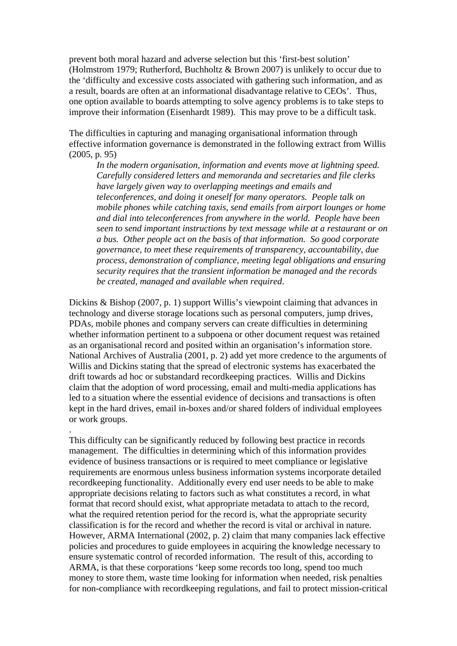prevent both moral hazard and adverse selection but this 'first-best solution' (Holmstrom 1979; Rutherford, Buchholtz & Brown 2007) is unlikely to occur due to the 'difficulty and excessive costs associated with gathering such information, and as a result, boards are often at an informational disadvantage relative to CEOs'. Thus, one option available to boards attempting to solve agency problems is to take steps to improve their information (Eisenhardt 1989). This may prove to be a difficult task.

The difficulties in capturing and managing organisational information through effective information governance is demonstrated in the following extract from Willis (2005, p. 95)

*In the modern organisation, information and events move at lightning speed. Carefully considered letters and memoranda and secretaries and file clerks have largely given way to overlapping meetings and emails and teleconferences, and doing it oneself for many operators. People talk on mobile phones while catching taxis, send emails from airport lounges or home and dial into teleconferences from anywhere in the world. People have been seen to send important instructions by text message while at a restaurant or on a bus. Other people act on the basis of that information. So good corporate governance, to meet these requirements of transparency, accountability, due process, demonstration of compliance, meeting legal obligations and ensuring security requires that the transient information be managed and the records be created, managed and available when required*.

Dickins & Bishop (2007, p. 1) support Willis's viewpoint claiming that advances in technology and diverse storage locations such as personal computers, jump drives, PDAs, mobile phones and company servers can create difficulties in determining whether information pertinent to a subpoena or other document request was retained as an organisational record and posited within an organisation's information store. National Archives of Australia (2001, p. 2) add yet more credence to the arguments of Willis and Dickins stating that the spread of electronic systems has exacerbated the drift towards ad hoc or substandard recordkeeping practices. Willis and Dickins claim that the adoption of word processing, email and multi-media applications has led to a situation where the essential evidence of decisions and transactions is often kept in the hard drives, email in-boxes and/or shared folders of individual employees or work groups.

.

This difficulty can be significantly reduced by following best practice in records management. The difficulties in determining which of this information provides evidence of business transactions or is required to meet compliance or legislative requirements are enormous unless business information systems incorporate detailed recordkeeping functionality. Additionally every end user needs to be able to make appropriate decisions relating to factors such as what constitutes a record, in what format that record should exist, what appropriate metadata to attach to the record, what the required retention period for the record is, what the appropriate security classification is for the record and whether the record is vital or archival in nature. However, ARMA International (2002, p. 2) claim that many companies lack effective policies and procedures to guide employees in acquiring the knowledge necessary to ensure systematic control of recorded information. The result of this, according to ARMA, is that these corporations 'keep some records too long, spend too much money to store them, waste time looking for information when needed, risk penalties for non-compliance with recordkeeping regulations, and fail to protect mission-critical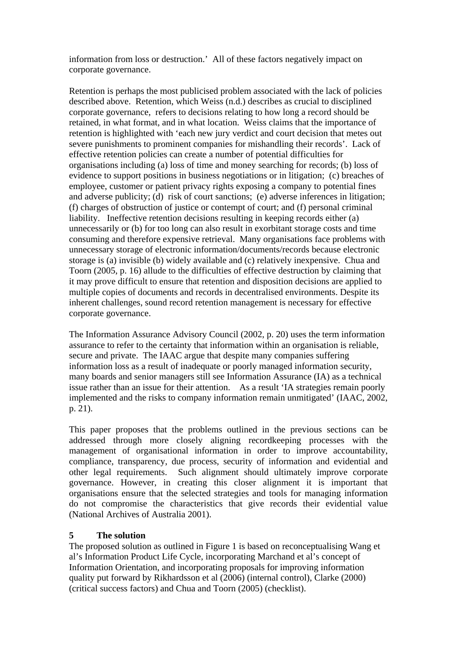information from loss or destruction.' All of these factors negatively impact on corporate governance.

Retention is perhaps the most publicised problem associated with the lack of policies described above. Retention, which Weiss (n.d.) describes as crucial to disciplined corporate governance, refers to decisions relating to how long a record should be retained, in what format, and in what location. Weiss claims that the importance of retention is highlighted with 'each new jury verdict and court decision that metes out severe punishments to prominent companies for mishandling their records'. Lack of effective retention policies can create a number of potential difficulties for organisations including (a) loss of time and money searching for records; (b) loss of evidence to support positions in business negotiations or in litigation; (c) breaches of employee, customer or patient privacy rights exposing a company to potential fines and adverse publicity; (d) risk of court sanctions; (e) adverse inferences in litigation; (f) charges of obstruction of justice or contempt of court; and (f) personal criminal liability. Ineffective retention decisions resulting in keeping records either (a) unnecessarily or (b) for too long can also result in exorbitant storage costs and time consuming and therefore expensive retrieval. Many organisations face problems with unnecessary storage of electronic information/documents/records because electronic storage is (a) invisible (b) widely available and (c) relatively inexpensive. Chua and Toorn (2005, p. 16) allude to the difficulties of effective destruction by claiming that it may prove difficult to ensure that retention and disposition decisions are applied to multiple copies of documents and records in decentralised environments. Despite its inherent challenges, sound record retention management is necessary for effective corporate governance.

The Information Assurance Advisory Council (2002, p. 20) uses the term information assurance to refer to the certainty that information within an organisation is reliable, secure and private. The IAAC argue that despite many companies suffering information loss as a result of inadequate or poorly managed information security, many boards and senior managers still see Information Assurance (IA) as a technical issue rather than an issue for their attention. As a result 'IA strategies remain poorly implemented and the risks to company information remain unmitigated' (IAAC, 2002, p. 21).

This paper proposes that the problems outlined in the previous sections can be addressed through more closely aligning recordkeeping processes with the management of organisational information in order to improve accountability, compliance, transparency, due process, security of information and evidential and other legal requirements. Such alignment should ultimately improve corporate governance. However, in creating this closer alignment it is important that organisations ensure that the selected strategies and tools for managing information do not compromise the characteristics that give records their evidential value (National Archives of Australia 2001).

# **5 The solution**

The proposed solution as outlined in Figure 1 is based on reconceptualising Wang et al's Information Product Life Cycle, incorporating Marchand et al's concept of Information Orientation, and incorporating proposals for improving information quality put forward by Rikhardsson et al (2006) (internal control), Clarke (2000) (critical success factors) and Chua and Toorn (2005) (checklist).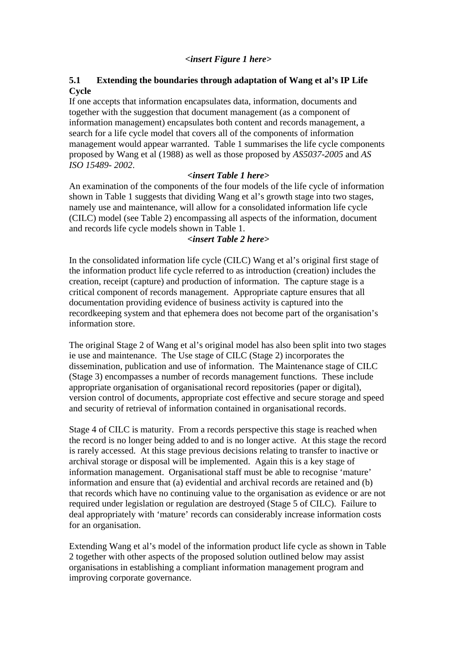## *<insert Figure 1 here>*

## **5.1 Extending the boundaries through adaptation of Wang et al's IP Life Cycle**

If one accepts that information encapsulates data, information, documents and together with the suggestion that document management (as a component of information management) encapsulates both content and records management, a search for a life cycle model that covers all of the components of information management would appear warranted. Table 1 summarises the life cycle components proposed by Wang et al (1988) as well as those proposed by *AS5037-2005* and *AS ISO 15489- 2002*.

### *<insert Table 1 here>*

An examination of the components of the four models of the life cycle of information shown in Table 1 suggests that dividing Wang et al's growth stage into two stages, namely use and maintenance, will allow for a consolidated information life cycle (CILC) model (see Table 2) encompassing all aspects of the information, document and records life cycle models shown in Table 1.

## *<insert Table 2 here>*

In the consolidated information life cycle (CILC) Wang et al's original first stage of the information product life cycle referred to as introduction (creation) includes the creation, receipt (capture) and production of information. The capture stage is a critical component of records management. Appropriate capture ensures that all documentation providing evidence of business activity is captured into the recordkeeping system and that ephemera does not become part of the organisation's information store.

The original Stage 2 of Wang et al's original model has also been split into two stages ie use and maintenance. The Use stage of CILC (Stage 2) incorporates the dissemination, publication and use of information. The Maintenance stage of CILC (Stage 3) encompasses a number of records management functions. These include appropriate organisation of organisational record repositories (paper or digital), version control of documents, appropriate cost effective and secure storage and speed and security of retrieval of information contained in organisational records.

Stage 4 of CILC is maturity. From a records perspective this stage is reached when the record is no longer being added to and is no longer active. At this stage the record is rarely accessed. At this stage previous decisions relating to transfer to inactive or archival storage or disposal will be implemented. Again this is a key stage of information management. Organisational staff must be able to recognise 'mature' information and ensure that (a) evidential and archival records are retained and (b) that records which have no continuing value to the organisation as evidence or are not required under legislation or regulation are destroyed (Stage 5 of CILC). Failure to deal appropriately with 'mature' records can considerably increase information costs for an organisation.

Extending Wang et al's model of the information product life cycle as shown in Table 2 together with other aspects of the proposed solution outlined below may assist organisations in establishing a compliant information management program and improving corporate governance.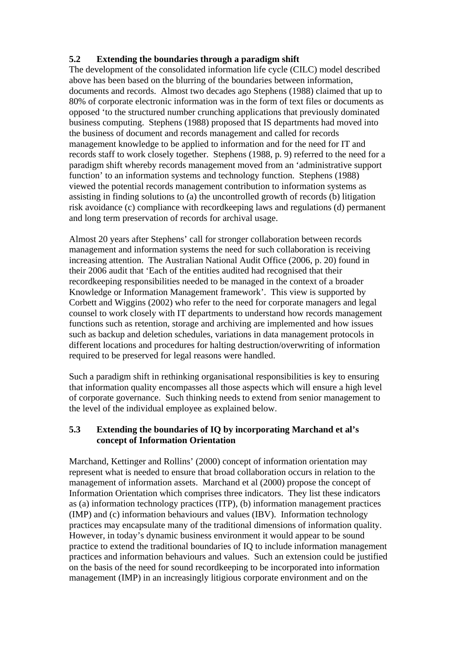# **5.2 Extending the boundaries through a paradigm shift**

The development of the consolidated information life cycle (CILC) model described above has been based on the blurring of the boundaries between information, documents and records. Almost two decades ago Stephens (1988) claimed that up to 80% of corporate electronic information was in the form of text files or documents as opposed 'to the structured number crunching applications that previously dominated business computing. Stephens (1988) proposed that IS departments had moved into the business of document and records management and called for records management knowledge to be applied to information and for the need for IT and records staff to work closely together. Stephens (1988, p. 9) referred to the need for a paradigm shift whereby records management moved from an 'administrative support function' to an information systems and technology function. Stephens (1988) viewed the potential records management contribution to information systems as assisting in finding solutions to (a) the uncontrolled growth of records (b) litigation risk avoidance (c) compliance with recordkeeping laws and regulations (d) permanent and long term preservation of records for archival usage.

Almost 20 years after Stephens' call for stronger collaboration between records management and information systems the need for such collaboration is receiving increasing attention. The Australian National Audit Office (2006, p. 20) found in their 2006 audit that 'Each of the entities audited had recognised that their recordkeeping responsibilities needed to be managed in the context of a broader Knowledge or Information Management framework'. This view is supported by Corbett and Wiggins (2002) who refer to the need for corporate managers and legal counsel to work closely with IT departments to understand how records management functions such as retention, storage and archiving are implemented and how issues such as backup and deletion schedules, variations in data management protocols in different locations and procedures for halting destruction/overwriting of information required to be preserved for legal reasons were handled.

Such a paradigm shift in rethinking organisational responsibilities is key to ensuring that information quality encompasses all those aspects which will ensure a high level of corporate governance. Such thinking needs to extend from senior management to the level of the individual employee as explained below.

# **5.3 Extending the boundaries of IQ by incorporating Marchand et al's concept of Information Orientation**

Marchand, Kettinger and Rollins' (2000) concept of information orientation may represent what is needed to ensure that broad collaboration occurs in relation to the management of information assets. Marchand et al (2000) propose the concept of Information Orientation which comprises three indicators. They list these indicators as (a) information technology practices (ITP), (b) information management practices (IMP) and (c) information behaviours and values (IBV). Information technology practices may encapsulate many of the traditional dimensions of information quality. However, in today's dynamic business environment it would appear to be sound practice to extend the traditional boundaries of IQ to include information management practices and information behaviours and values. Such an extension could be justified on the basis of the need for sound recordkeeping to be incorporated into information management (IMP) in an increasingly litigious corporate environment and on the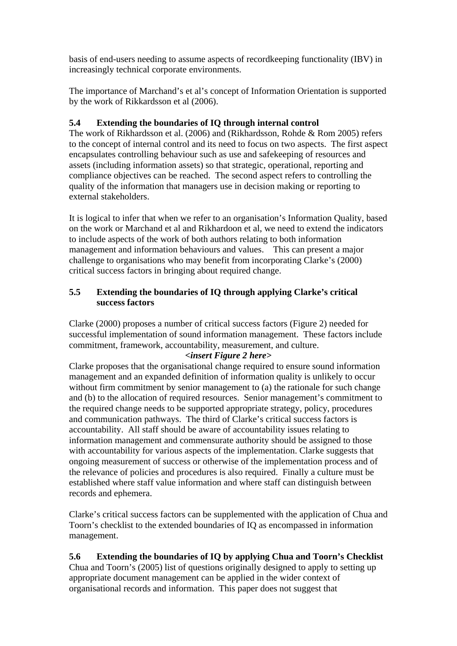basis of end-users needing to assume aspects of recordkeeping functionality (IBV) in increasingly technical corporate environments.

The importance of Marchand's et al's concept of Information Orientation is supported by the work of Rikkardsson et al (2006).

# **5.4 Extending the boundaries of IQ through internal control**

The work of Rikhardsson et al. (2006) and (Rikhardsson, Rohde & Rom 2005) refers to the concept of internal control and its need to focus on two aspects. The first aspect encapsulates controlling behaviour such as use and safekeeping of resources and assets (including information assets) so that strategic, operational, reporting and compliance objectives can be reached. The second aspect refers to controlling the quality of the information that managers use in decision making or reporting to external stakeholders.

It is logical to infer that when we refer to an organisation's Information Quality, based on the work or Marchand et al and Rikhardoon et al, we need to extend the indicators to include aspects of the work of both authors relating to both information management and information behaviours and values. This can present a major challenge to organisations who may benefit from incorporating Clarke's (2000) critical success factors in bringing about required change.

# **5.5 Extending the boundaries of IQ through applying Clarke's critical success factors**

Clarke (2000) proposes a number of critical success factors (Figure 2) needed for successful implementation of sound information management. These factors include commitment, framework, accountability, measurement, and culture.

# *<insert Figure 2 here>*

Clarke proposes that the organisational change required to ensure sound information management and an expanded definition of information quality is unlikely to occur without firm commitment by senior management to (a) the rationale for such change and (b) to the allocation of required resources. Senior management's commitment to the required change needs to be supported appropriate strategy, policy, procedures and communication pathways. The third of Clarke's critical success factors is accountability. All staff should be aware of accountability issues relating to information management and commensurate authority should be assigned to those with accountability for various aspects of the implementation. Clarke suggests that ongoing measurement of success or otherwise of the implementation process and of the relevance of policies and procedures is also required. Finally a culture must be established where staff value information and where staff can distinguish between records and ephemera.

Clarke's critical success factors can be supplemented with the application of Chua and Toorn's checklist to the extended boundaries of IQ as encompassed in information management.

# **5.6 Extending the boundaries of IQ by applying Chua and Toorn's Checklist**

Chua and Toorn's (2005) list of questions originally designed to apply to setting up appropriate document management can be applied in the wider context of organisational records and information. This paper does not suggest that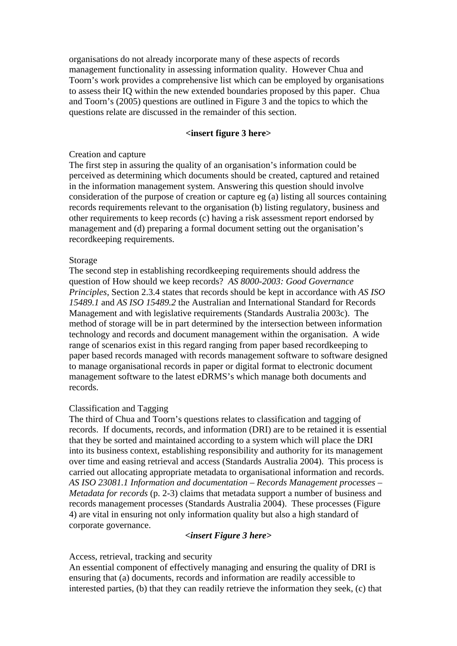organisations do not already incorporate many of these aspects of records management functionality in assessing information quality. However Chua and Toorn's work provides a comprehensive list which can be employed by organisations to assess their IQ within the new extended boundaries proposed by this paper. Chua and Toorn's (2005) questions are outlined in Figure 3 and the topics to which the questions relate are discussed in the remainder of this section.

### **<insert figure 3 here>**

### Creation and capture

The first step in assuring the quality of an organisation's information could be perceived as determining which documents should be created, captured and retained in the information management system. Answering this question should involve consideration of the purpose of creation or capture eg (a) listing all sources containing records requirements relevant to the organisation (b) listing regulatory, business and other requirements to keep records (c) having a risk assessment report endorsed by management and (d) preparing a formal document setting out the organisation's recordkeeping requirements.

#### Storage

The second step in establishing recordkeeping requirements should address the question of How should we keep records? *AS 8000-2003: Good Governance Principles*, Section 2.3.4 states that records should be kept in accordance with *AS ISO 15489.1* and *AS ISO 15489.2* the Australian and International Standard for Records Management and with legislative requirements (Standards Australia 2003c). The method of storage will be in part determined by the intersection between information technology and records and document management within the organisation. A wide range of scenarios exist in this regard ranging from paper based recordkeeping to paper based records managed with records management software to software designed to manage organisational records in paper or digital format to electronic document management software to the latest eDRMS's which manage both documents and records.

#### Classification and Tagging

The third of Chua and Toorn's questions relates to classification and tagging of records. If documents, records, and information (DRI) are to be retained it is essential that they be sorted and maintained according to a system which will place the DRI into its business context, establishing responsibility and authority for its management over time and easing retrieval and access (Standards Australia 2004). This process is carried out allocating appropriate metadata to organisational information and records. *AS ISO 23081.1 Information and documentation – Records Management processes – Metadata for records* (p. 2-3) claims that metadata support a number of business and records management processes (Standards Australia 2004). These processes (Figure 4) are vital in ensuring not only information quality but also a high standard of corporate governance.

### *<insert Figure 3 here>*

### Access, retrieval, tracking and security

An essential component of effectively managing and ensuring the quality of DRI is ensuring that (a) documents, records and information are readily accessible to interested parties, (b) that they can readily retrieve the information they seek, (c) that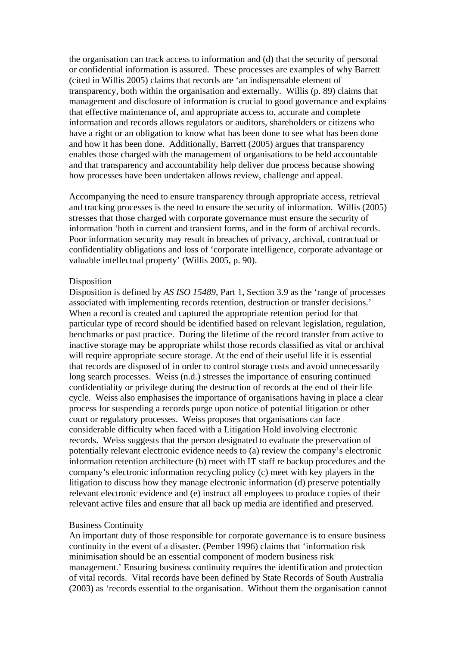the organisation can track access to information and (d) that the security of personal or confidential information is assured. These processes are examples of why Barrett (cited in Willis 2005) claims that records are 'an indispensable element of transparency, both within the organisation and externally. Willis (p. 89) claims that management and disclosure of information is crucial to good governance and explains that effective maintenance of, and appropriate access to, accurate and complete information and records allows regulators or auditors, shareholders or citizens who have a right or an obligation to know what has been done to see what has been done and how it has been done. Additionally, Barrett (2005) argues that transparency enables those charged with the management of organisations to be held accountable and that transparency and accountability help deliver due process because showing how processes have been undertaken allows review, challenge and appeal.

Accompanying the need to ensure transparency through appropriate access, retrieval and tracking processes is the need to ensure the security of information. Willis (2005) stresses that those charged with corporate governance must ensure the security of information 'both in current and transient forms, and in the form of archival records. Poor information security may result in breaches of privacy, archival, contractual or confidentiality obligations and loss of 'corporate intelligence, corporate advantage or valuable intellectual property' (Willis 2005, p. 90).

#### Disposition

Disposition is defined by *AS ISO 15489*, Part 1, Section 3.9 as the 'range of processes associated with implementing records retention, destruction or transfer decisions.' When a record is created and captured the appropriate retention period for that particular type of record should be identified based on relevant legislation, regulation, benchmarks or past practice. During the lifetime of the record transfer from active to inactive storage may be appropriate whilst those records classified as vital or archival will require appropriate secure storage. At the end of their useful life it is essential that records are disposed of in order to control storage costs and avoid unnecessarily long search processes. Weiss (n.d.) stresses the importance of ensuring continued confidentiality or privilege during the destruction of records at the end of their life cycle. Weiss also emphasises the importance of organisations having in place a clear process for suspending a records purge upon notice of potential litigation or other court or regulatory processes. Weiss proposes that organisations can face considerable difficulty when faced with a Litigation Hold involving electronic records. Weiss suggests that the person designated to evaluate the preservation of potentially relevant electronic evidence needs to (a) review the company's electronic information retention architecture (b) meet with IT staff re backup procedures and the company's electronic information recycling policy (c) meet with key players in the litigation to discuss how they manage electronic information (d) preserve potentially relevant electronic evidence and (e) instruct all employees to produce copies of their relevant active files and ensure that all back up media are identified and preserved.

#### Business Continuity

An important duty of those responsible for corporate governance is to ensure business continuity in the event of a disaster. (Pember 1996) claims that 'information risk minimisation should be an essential component of modern business risk management.' Ensuring business continuity requires the identification and protection of vital records. Vital records have been defined by State Records of South Australia (2003) as 'records essential to the organisation. Without them the organisation cannot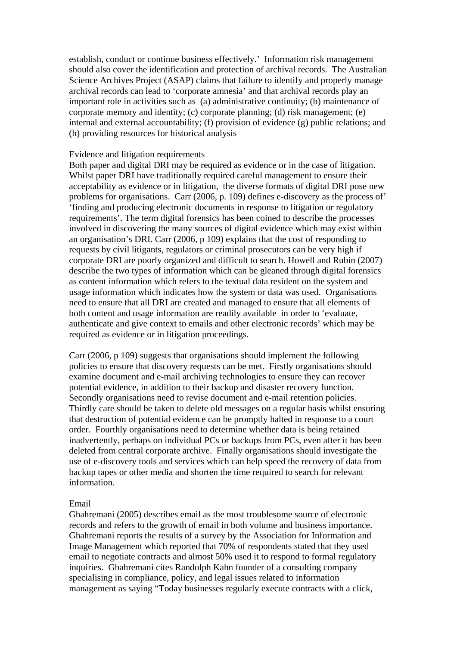establish, conduct or continue business effectively.' Information risk management should also cover the identification and protection of archival records. The Australian Science Archives Project (ASAP) claims that failure to identify and properly manage archival records can lead to 'corporate amnesia' and that archival records play an important role in activities such as (a) administrative continuity; (b) maintenance of corporate memory and identity; (c) corporate planning; (d) risk management; (e) internal and external accountability; (f) provision of evidence (g) public relations; and (h) providing resources for historical analysis

### Evidence and litigation requirements

Both paper and digital DRI may be required as evidence or in the case of litigation. Whilst paper DRI have traditionally required careful management to ensure their acceptability as evidence or in litigation, the diverse formats of digital DRI pose new problems for organisations. Carr (2006, p. 109) defines e-discovery as the process of' 'finding and producing electronic documents in response to litigation or regulatory requirements'. The term digital forensics has been coined to describe the processes involved in discovering the many sources of digital evidence which may exist within an organisation's DRI. Carr (2006, p 109) explains that the cost of responding to requests by civil litigants, regulators or criminal prosecutors can be very high if corporate DRI are poorly organized and difficult to search. Howell and Rubin (2007) describe the two types of information which can be gleaned through digital forensics as content information which refers to the textual data resident on the system and usage information which indicates how the system or data was used. Organisations need to ensure that all DRI are created and managed to ensure that all elements of both content and usage information are readily available in order to 'evaluate, authenticate and give context to emails and other electronic records' which may be required as evidence or in litigation proceedings.

Carr (2006, p 109) suggests that organisations should implement the following policies to ensure that discovery requests can be met. Firstly organisations should examine document and e-mail archiving technologies to ensure they can recover potential evidence, in addition to their backup and disaster recovery function. Secondly organisations need to revise document and e-mail retention policies. Thirdly care should be taken to delete old messages on a regular basis whilst ensuring that destruction of potential evidence can be promptly halted in response to a court order. Fourthly organisations need to determine whether data is being retained inadvertently, perhaps on individual PCs or backups from PCs, even after it has been deleted from central corporate archive. Finally organisations should investigate the use of e-discovery tools and services which can help speed the recovery of data from backup tapes or other media and shorten the time required to search for relevant information.

### Email

Ghahremani (2005) describes email as the most troublesome source of electronic records and refers to the growth of email in both volume and business importance. Ghahremani reports the results of a survey by the Association for Information and Image Management which reported that 70% of respondents stated that they used email to negotiate contracts and almost 50% used it to respond to formal regulatory inquiries. Ghahremani cites Randolph Kahn founder of a consulting company specialising in compliance, policy, and legal issues related to information management as saying "Today businesses regularly execute contracts with a click,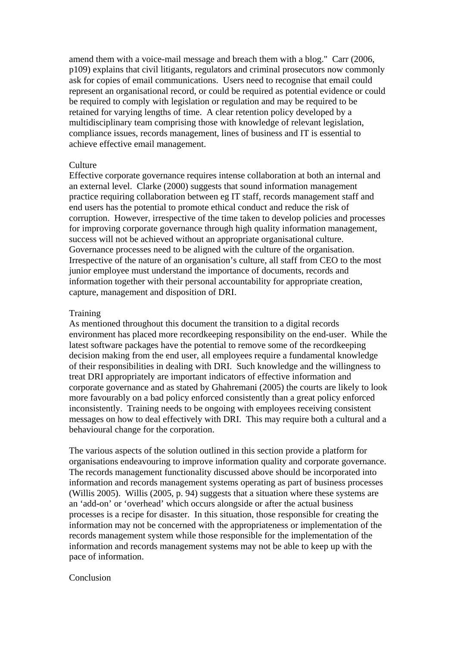amend them with a voice-mail message and breach them with a blog." Carr (2006, p109) explains that civil litigants, regulators and criminal prosecutors now commonly ask for copies of email communications. Users need to recognise that email could represent an organisational record, or could be required as potential evidence or could be required to comply with legislation or regulation and may be required to be retained for varying lengths of time. A clear retention policy developed by a multidisciplinary team comprising those with knowledge of relevant legislation, compliance issues, records management, lines of business and IT is essential to achieve effective email management.

### Culture

Effective corporate governance requires intense collaboration at both an internal and an external level. Clarke (2000) suggests that sound information management practice requiring collaboration between eg IT staff, records management staff and end users has the potential to promote ethical conduct and reduce the risk of corruption. However, irrespective of the time taken to develop policies and processes for improving corporate governance through high quality information management, success will not be achieved without an appropriate organisational culture. Governance processes need to be aligned with the culture of the organisation. Irrespective of the nature of an organisation's culture, all staff from CEO to the most junior employee must understand the importance of documents, records and information together with their personal accountability for appropriate creation, capture, management and disposition of DRI.

### **Training**

As mentioned throughout this document the transition to a digital records environment has placed more recordkeeping responsibility on the end-user. While the latest software packages have the potential to remove some of the recordkeeping decision making from the end user, all employees require a fundamental knowledge of their responsibilities in dealing with DRI. Such knowledge and the willingness to treat DRI appropriately are important indicators of effective information and corporate governance and as stated by Ghahremani (2005) the courts are likely to look more favourably on a bad policy enforced consistently than a great policy enforced inconsistently. Training needs to be ongoing with employees receiving consistent messages on how to deal effectively with DRI. This may require both a cultural and a behavioural change for the corporation.

The various aspects of the solution outlined in this section provide a platform for organisations endeavouring to improve information quality and corporate governance. The records management functionality discussed above should be incorporated into information and records management systems operating as part of business processes (Willis 2005). Willis (2005, p. 94) suggests that a situation where these systems are an 'add-on' or 'overhead' which occurs alongside or after the actual business processes is a recipe for disaster. In this situation, those responsible for creating the information may not be concerned with the appropriateness or implementation of the records management system while those responsible for the implementation of the information and records management systems may not be able to keep up with the pace of information.

### Conclusion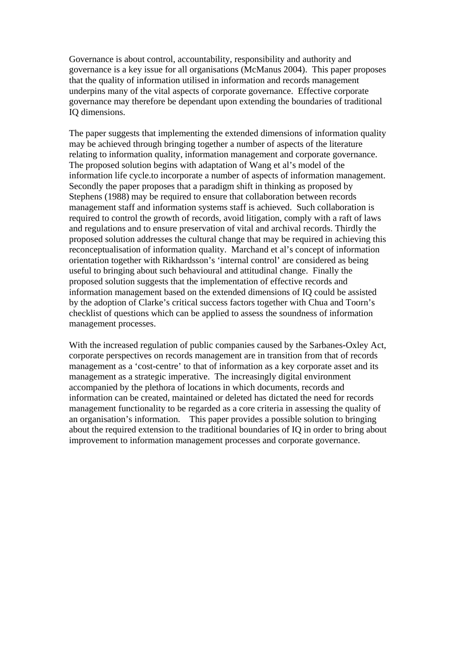Governance is about control, accountability, responsibility and authority and governance is a key issue for all organisations (McManus 2004). This paper proposes that the quality of information utilised in information and records management underpins many of the vital aspects of corporate governance. Effective corporate governance may therefore be dependant upon extending the boundaries of traditional IQ dimensions.

The paper suggests that implementing the extended dimensions of information quality may be achieved through bringing together a number of aspects of the literature relating to information quality, information management and corporate governance. The proposed solution begins with adaptation of Wang et al's model of the information life cycle.to incorporate a number of aspects of information management. Secondly the paper proposes that a paradigm shift in thinking as proposed by Stephens (1988) may be required to ensure that collaboration between records management staff and information systems staff is achieved. Such collaboration is required to control the growth of records, avoid litigation, comply with a raft of laws and regulations and to ensure preservation of vital and archival records. Thirdly the proposed solution addresses the cultural change that may be required in achieving this reconceptualisation of information quality. Marchand et al's concept of information orientation together with Rikhardsson's 'internal control' are considered as being useful to bringing about such behavioural and attitudinal change. Finally the proposed solution suggests that the implementation of effective records and information management based on the extended dimensions of IQ could be assisted by the adoption of Clarke's critical success factors together with Chua and Toorn's checklist of questions which can be applied to assess the soundness of information management processes.

With the increased regulation of public companies caused by the Sarbanes-Oxley Act, corporate perspectives on records management are in transition from that of records management as a 'cost-centre' to that of information as a key corporate asset and its management as a strategic imperative. The increasingly digital environment accompanied by the plethora of locations in which documents, records and information can be created, maintained or deleted has dictated the need for records management functionality to be regarded as a core criteria in assessing the quality of an organisation's information. This paper provides a possible solution to bringing about the required extension to the traditional boundaries of IQ in order to bring about improvement to information management processes and corporate governance.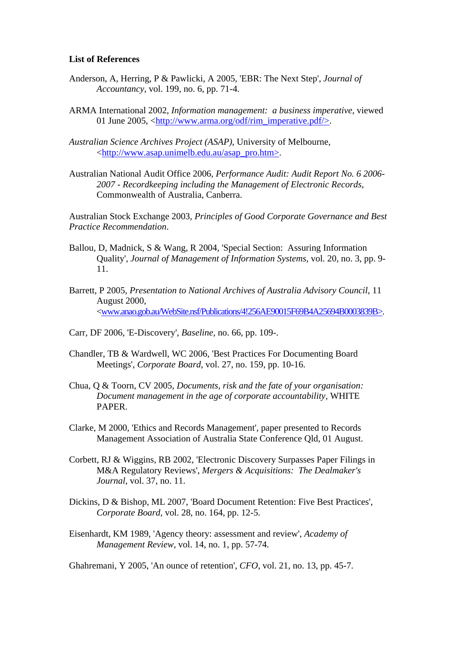#### **List of References**

- Anderson, A, Herring, P & Pawlicki, A 2005, 'EBR: The Next Step', *Journal of Accountancy*, vol. 199, no. 6, pp. 71-4.
- ARMA International 2002, *Information management: a business imperative*, viewed 01 June 2005, <[http://www.arma.org/odf/rim\\_imperative.pdf/>](http://www.arma.org/odf/rim_imperative.pdf/%3E).
- *Australian Science Archives Project (ASAP)*, University of Melbourne, <[http://www.asap.unimelb.edu.au/asap\\_pro.htm>.](http://www.asap.unimelb.edu.au/asap_pro.htm%3E)
- Australian National Audit Office 2006, *Performance Audit: Audit Report No. 6 2006- 2007 - Recordkeeping including the Management of Electronic Records*, Commonwealth of Australia, Canberra.

Australian Stock Exchange 2003, *Principles of Good Corporate Governance and Best Practice Recommendation*.

- Ballou, D, Madnick, S & Wang, R 2004, 'Special Section: Assuring Information Quality', *Journal of Management of Information Systems*, vol. 20, no. 3, pp. 9- 11.
- Barrett, P 2005, *Presentation to National Archives of Australia Advisory Council*, 11 August 2000, [<www.anao.gob.au/WebSite.nsf/Publications/4!256AE90015F69B4A25694B0003839B>](http://www.anao.gob.au/WebSite.nsf/Publications/4!256AE90015F69B4A25694B0003839B%3E).
- Carr, DF 2006, 'E-Discovery', *Baseline*, no. 66, pp. 109-.
- Chandler, TB & Wardwell, WC 2006, 'Best Practices For Documenting Board Meetings', *Corporate Board*, vol. 27, no. 159, pp. 10-16.
- Chua, Q & Toorn, CV 2005, *Documents, risk and the fate of your organisation: Document management in the age of corporate accountability*, WHITE PAPER.
- Clarke, M 2000, 'Ethics and Records Management', paper presented to Records Management Association of Australia State Conference Qld, 01 August.
- Corbett, RJ & Wiggins, RB 2002, 'Electronic Discovery Surpasses Paper Filings in M&A Regulatory Reviews', *Mergers & Acquisitions: The Dealmaker's Journal*, vol. 37, no. 11.
- Dickins, D & Bishop, ML 2007, 'Board Document Retention: Five Best Practices', *Corporate Board*, vol. 28, no. 164, pp. 12-5.
- Eisenhardt, KM 1989, 'Agency theory: assessment and review', *Academy of Management Review*, vol. 14, no. 1, pp. 57-74.

Ghahremani, Y 2005, 'An ounce of retention', *CFO*, vol. 21, no. 13, pp. 45-7.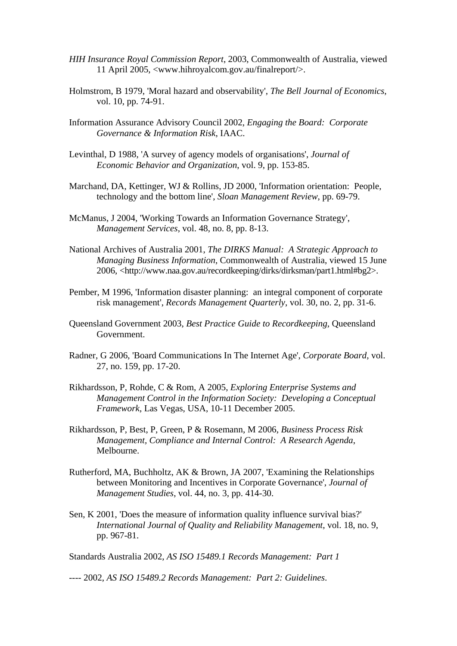- *HIH Insurance Royal Commission Report*, 2003, Commonwealth of Australia, viewed 11 April 2005, <www.hihroyalcom.gov.au/finalreport/>.
- Holmstrom, B 1979, 'Moral hazard and observability', *The Bell Journal of Economics*, vol. 10, pp. 74-91.
- Information Assurance Advisory Council 2002, *Engaging the Board: Corporate Governance & Information Risk*, IAAC.
- Levinthal, D 1988, 'A survey of agency models of organisations', *Journal of Economic Behavior and Organization*, vol. 9, pp. 153-85.
- Marchand, DA, Kettinger, WJ & Rollins, JD 2000, 'Information orientation: People, technology and the bottom line', *Sloan Management Review*, pp. 69-79.
- McManus, J 2004, 'Working Towards an Information Governance Strategy', *Management Services*, vol. 48, no. 8, pp. 8-13.
- National Archives of Australia 2001, *The DIRKS Manual: A Strategic Approach to Managing Business Information*, Commonwealth of Australia, viewed 15 June 2006, <http://www.naa.gov.au/recordkeeping/dirks/dirksman/part1.html#bg2>.
- Pember, M 1996, 'Information disaster planning: an integral component of corporate risk management', *Records Management Quarterly*, vol. 30, no. 2, pp. 31-6.
- Queensland Government 2003, *Best Practice Guide to Recordkeeping*, Queensland Government.
- Radner, G 2006, 'Board Communications In The Internet Age', *Corporate Board*, vol. 27, no. 159, pp. 17-20.
- Rikhardsson, P, Rohde, C & Rom, A 2005, *Exploring Enterprise Systems and Management Control in the Information Society: Developing a Conceptual Framework*, Las Vegas, USA, 10-11 December 2005.
- Rikhardsson, P, Best, P, Green, P & Rosemann, M 2006, *Business Process Risk Management, Compliance and Internal Control: A Research Agenda*, Melbourne.
- Rutherford, MA, Buchholtz, AK & Brown, JA 2007, 'Examining the Relationships between Monitoring and Incentives in Corporate Governance', *Journal of Management Studies*, vol. 44, no. 3, pp. 414-30.
- Sen, K 2001, 'Does the measure of information quality influence survival bias?' *International Journal of Quality and Reliability Management*, vol. 18, no. 9, pp. 967-81.

Standards Australia 2002, *AS ISO 15489.1 Records Management: Part 1*

---- 2002, *AS ISO 15489.2 Records Management: Part 2: Guidelines*.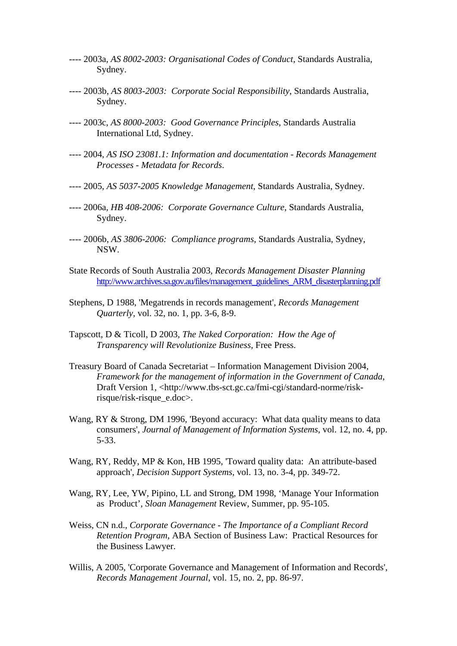- ---- 2003a, *AS 8002-2003: Organisational Codes of Conduct*, Standards Australia, Sydney.
- ---- 2003b, *AS 8003-2003: Corporate Social Responsibility*, Standards Australia, Sydney.
- ---- 2003c, *AS 8000-2003: Good Governance Principles*, Standards Australia International Ltd, Sydney.
- ---- 2004, *AS ISO 23081.1: Information and documentation Records Management Processes - Metadata for Records*.
- ---- 2005, *AS 5037-2005 Knowledge Management*, Standards Australia, Sydney.
- ---- 2006a, *HB 408-2006: Corporate Governance Culture*, Standards Australia, Sydney.
- ---- 2006b, *AS 3806-2006: Compliance programs*, Standards Australia, Sydney, NSW.
- State Records of South Australia 2003, *Records Management Disaster Planning*  [http://www.archives.sa.gov.au/files/management\\_guidelines\\_ARM\\_disasterplanning.pdf](http://www.archives.sa.gov.au/files/management_guidelines_ARM_disasterplanning.pdf)
- Stephens, D 1988, 'Megatrends in records management', *Records Management Quarterly*, vol. 32, no. 1, pp. 3-6, 8-9.
- Tapscott, D & Ticoll, D 2003, *The Naked Corporation: How the Age of Transparency will Revolutionize Business*, Free Press.
- Treasury Board of Canada Secretariat Information Management Division 2004, *Framework for the management of information in the Government of Canada*, Draft Version 1, <http://www.tbs-sct.gc.ca/fmi-cgi/standard-norme/riskrisque/risk-risque\_e.doc>.
- Wang, RY & Strong, DM 1996, 'Beyond accuracy: What data quality means to data consumers', *Journal of Management of Information Systems*, vol. 12, no. 4, pp. 5-33.
- Wang, RY, Reddy, MP & Kon, HB 1995, 'Toward quality data: An attribute-based approach', *Decision Support Systems*, vol. 13, no. 3-4, pp. 349-72.
- Wang, RY, Lee, YW, Pipino, LL and Strong, DM 1998, 'Manage Your Information as Product', *Sloan Management* Review, Summer, pp. 95-105.
- Weiss, CN n.d., *Corporate Governance The Importance of a Compliant Record Retention Program*, ABA Section of Business Law: Practical Resources for the Business Lawyer.
- Willis, A 2005, 'Corporate Governance and Management of Information and Records', *Records Management Journal*, vol. 15, no. 2, pp. 86-97.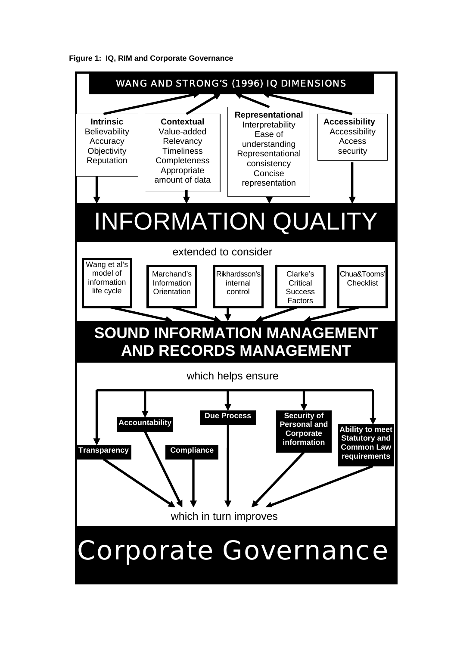**Figure 1: IQ, RIM and Corporate Governance** 

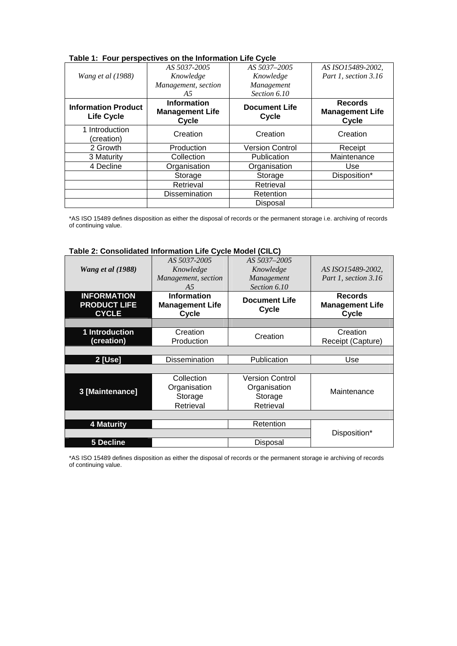|                                                 | rable i. Todi perspectives on the imormation Life Oycle |                               |                                                   |
|-------------------------------------------------|---------------------------------------------------------|-------------------------------|---------------------------------------------------|
|                                                 | AS 5037-2005                                            | AS 5037-2005                  | AS ISO15489-2002,                                 |
| Wang et al (1988)                               | Knowledge                                               | Knowledge                     | Part 1, section 3.16                              |
|                                                 | Management, section                                     | Management                    |                                                   |
|                                                 | A5                                                      | Section 6.10                  |                                                   |
| <b>Information Product</b><br><b>Life Cycle</b> | <b>Information</b><br><b>Management Life</b><br>Cycle   | <b>Document Life</b><br>Cycle | <b>Records</b><br><b>Management Life</b><br>Cycle |
| 1 Introduction<br>(creation)                    | Creation                                                | Creation                      | Creation                                          |
| 2 Growth                                        | Production                                              | <b>Version Control</b>        | Receipt                                           |
| 3 Maturity                                      | Collection                                              | Publication                   | Maintenance                                       |
| 4 Decline                                       | Organisation                                            | Organisation                  | Use                                               |
|                                                 | Storage                                                 | Storage                       | Disposition*                                      |
|                                                 | Retrieval                                               | Retrieval                     |                                                   |
|                                                 | <b>Dissemination</b>                                    | Retention                     |                                                   |
|                                                 |                                                         | Disposal                      |                                                   |

**Table 1: Four perspectives on the Information Life Cycle** 

\*AS ISO 15489 defines disposition as either the disposal of records or the permanent storage i.e. archiving of records of continuing value.

|                                                           | AS 5037-2005                                          | AS 5037-2005                  |                                                   |  |
|-----------------------------------------------------------|-------------------------------------------------------|-------------------------------|---------------------------------------------------|--|
| <b>Wang et al (1988)</b>                                  | Knowledge                                             | Knowledge                     | AS ISO15489-2002,                                 |  |
|                                                           | Management, section                                   | Management                    | Part 1, section 3.16                              |  |
|                                                           | A <sub>5</sub>                                        | Section 6.10                  |                                                   |  |
| <b>INFORMATION</b><br><b>PRODUCT LIFE</b><br><b>CYCLE</b> | <b>Information</b><br><b>Management Life</b><br>Cycle | <b>Document Life</b><br>Cycle | <b>Records</b><br><b>Management Life</b><br>Cycle |  |
|                                                           |                                                       |                               |                                                   |  |
| 1 Introduction                                            | Creation                                              | Creation                      | Creation                                          |  |
| (creation)                                                | Production                                            |                               | Receipt (Capture)                                 |  |
|                                                           |                                                       |                               |                                                   |  |
| 2 [Use]                                                   | Dissemination                                         | Publication                   | Use                                               |  |
|                                                           |                                                       |                               |                                                   |  |
|                                                           | Collection                                            | <b>Version Control</b>        |                                                   |  |
| 3 [Maintenance]                                           | Organisation                                          | Organisation                  | Maintenance                                       |  |
|                                                           | Storage                                               | Storage                       |                                                   |  |
|                                                           | Retrieval                                             | Retrieval                     |                                                   |  |
|                                                           |                                                       |                               |                                                   |  |
| 4 Maturity                                                |                                                       | Retention                     |                                                   |  |
|                                                           |                                                       |                               | Disposition*                                      |  |
| <b>5 Decline</b>                                          |                                                       | Disposal                      |                                                   |  |

**Table 2: Consolidated Information Life Cycle Model (CILC)** 

\*AS ISO 15489 defines disposition as either the disposal of records or the permanent storage ie archiving of records of continuing value.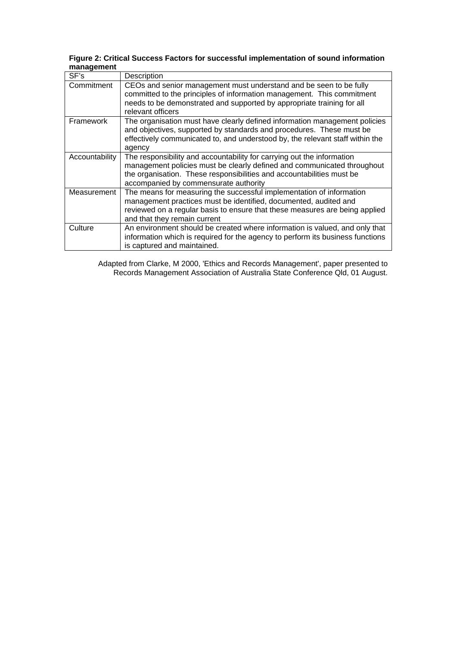#### **Figure 2: Critical Success Factors for successful implementation of sound information management**

| SF's           | Description                                                                                                                                                                                                                                                         |
|----------------|---------------------------------------------------------------------------------------------------------------------------------------------------------------------------------------------------------------------------------------------------------------------|
| Commitment     | CEOs and senior management must understand and be seen to be fully<br>committed to the principles of information management. This commitment<br>needs to be demonstrated and supported by appropriate training for all<br>relevant officers                         |
| Framework      | The organisation must have clearly defined information management policies<br>and objectives, supported by standards and procedures. These must be<br>effectively communicated to, and understood by, the relevant staff within the<br>agency                       |
| Accountability | The responsibility and accountability for carrying out the information<br>management policies must be clearly defined and communicated throughout<br>the organisation. These responsibilities and accountabilities must be<br>accompanied by commensurate authority |
| Measurement    | The means for measuring the successful implementation of information<br>management practices must be identified, documented, audited and<br>reviewed on a regular basis to ensure that these measures are being applied<br>and that they remain current             |
| Culture        | An environment should be created where information is valued, and only that<br>information which is required for the agency to perform its business functions<br>is captured and maintained.                                                                        |

Adapted from Clarke, M 2000, 'Ethics and Records Management', paper presented to Records Management Association of Australia State Conference Qld, 01 August.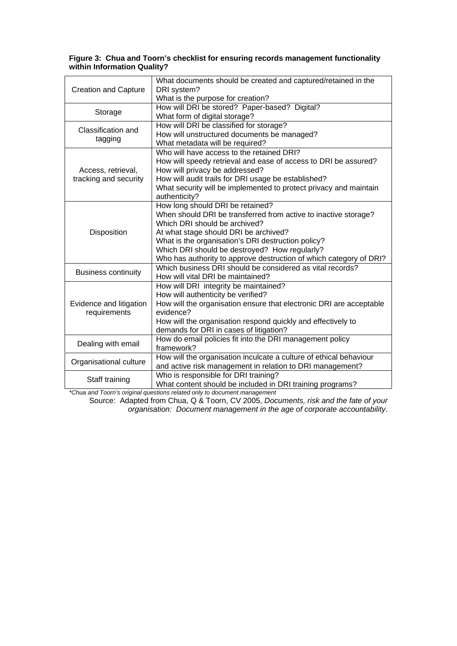#### **Figure 3: Chua and Toorn's checklist for ensuring records management functionality within Information Quality?**

| <b>Creation and Capture</b>   | What documents should be created and captured/retained in the       |  |
|-------------------------------|---------------------------------------------------------------------|--|
|                               | DRI system?                                                         |  |
|                               | What is the purpose for creation?                                   |  |
| Storage                       | How will DRI be stored? Paper-based? Digital?                       |  |
|                               | What form of digital storage?                                       |  |
| Classification and<br>tagging | How will DRI be classified for storage?                             |  |
|                               | How will unstructured documents be managed?                         |  |
|                               | What metadata will be required?                                     |  |
|                               | Who will have access to the retained DRI?                           |  |
|                               | How will speedy retrieval and ease of access to DRI be assured?     |  |
| Access, retrieval,            | How will privacy be addressed?                                      |  |
| tracking and security         | How will audit trails for DRI usage be established?                 |  |
|                               | What security will be implemented to protect privacy and maintain   |  |
|                               | authenticity?                                                       |  |
|                               | How long should DRI be retained?                                    |  |
|                               | When should DRI be transferred from active to inactive storage?     |  |
|                               | Which DRI should be archived?                                       |  |
| Disposition                   | At what stage should DRI be archived?                               |  |
|                               | What is the organisation's DRI destruction policy?                  |  |
|                               | Which DRI should be destroyed? How regularly?                       |  |
|                               | Who has authority to approve destruction of which category of DRI?  |  |
| <b>Business continuity</b>    | Which business DRI should be considered as vital records?           |  |
|                               | How will vital DRI be maintained?                                   |  |
|                               | How will DRI integrity be maintained?                               |  |
|                               | How will authenticity be verified?                                  |  |
| Evidence and litigation       | How will the organisation ensure that electronic DRI are acceptable |  |
| requirements                  | evidence?                                                           |  |
|                               | How will the organisation respond quickly and effectively to        |  |
|                               | demands for DRI in cases of litigation?                             |  |
|                               | How do email policies fit into the DRI management policy            |  |
| Dealing with email            | framework?                                                          |  |
|                               | How will the organisation inculcate a culture of ethical behaviour  |  |
| Organisational culture        | and active risk management in relation to DRI management?           |  |
| Staff training                | Who is responsible for DRI training?                                |  |
|                               | What content should be included in DRI training programs?           |  |

*\*Chua and Toorn's original questions related only to document management* 

Source: Adapted from Chua, Q & Toorn, CV 2005, *Documents, risk and the fate of your organisation: Document management in the age of corporate accountability*.